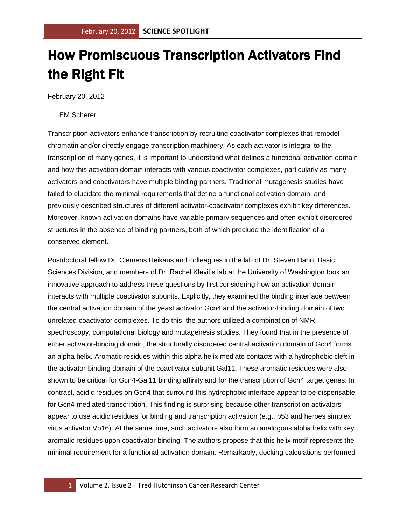## How Promiscuous Transcription Activators Find the Right Fit

February 20, 2012

## EM Scherer

Transcription activators enhance transcription by recruiting coactivator complexes that remodel chromatin and/or directly engage transcription machinery. As each activator is integral to the transcription of many genes, it is important to understand what defines a functional activation domain and how this activation domain interacts with various coactivator complexes, particularly as many activators and coactivators have multiple binding partners. Traditional mutagenesis studies have failed to elucidate the minimal requirements that define a functional activation domain, and previously described structures of different activator-coactivator complexes exhibit key differences. Moreover, known activation domains have variable primary sequences and often exhibit disordered structures in the absence of binding partners, both of which preclude the identification of a conserved element.

Postdoctoral fellow Dr. Clemens Heikaus and colleagues in the lab of Dr. Steven Hahn, Basic Sciences Division, and members of Dr. Rachel Klevit's lab at the University of Washington took an innovative approach to address these questions by first considering how an activation domain interacts with multiple coactivator subunits. Explicitly, they examined the binding interface between the central activation domain of the yeast activator Gcn4 and the activator-binding domain of two unrelated coactivator complexes. To do this, the authors utilized a combination of NMR spectroscopy, computational biology and mutagenesis studies. They found that in the presence of either activator-binding domain, the structurally disordered central activation domain of Gcn4 forms an alpha helix. Aromatic residues within this alpha helix mediate contacts with a hydrophobic cleft in the activator-binding domain of the coactivator subunit Gal11. These aromatic residues were also shown to be critical for Gcn4-Gal11 binding affinity and for the transcription of Gcn4 target genes. In contrast, acidic residues on Gcn4 that surround this hydrophobic interface appear to be dispensable for Gcn4-mediated transcription. This finding is surprising because other transcription activators appear to use acidic residues for binding and transcription activation (e.g., p53 and herpes simplex virus activator Vp16). At the same time, such activators also form an analogous alpha helix with key aromatic residues upon coactivator binding. The authors propose that this helix motif represents the minimal requirement for a functional activation domain. Remarkably, docking calculations performed